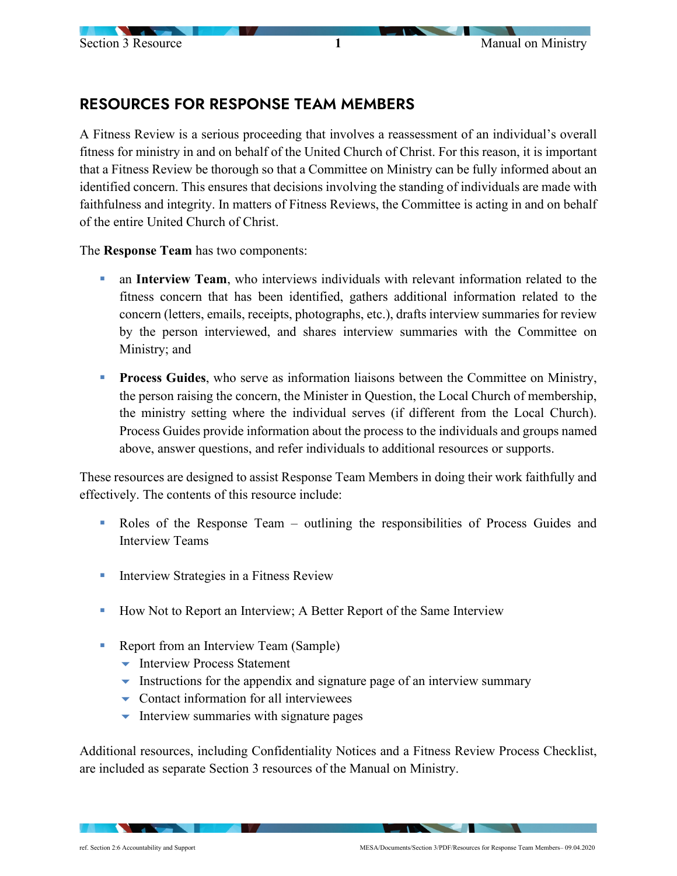## RESOURCES FOR RESPONSE TEAM MEMBERS

A Fitness Review is a serious proceeding that involves a reassessment of an individual's overall fitness for ministry in and on behalf of the United Church of Christ. For this reason, it is important that a Fitness Review be thorough so that a Committee on Ministry can be fully informed about an identified concern. This ensures that decisions involving the standing of individuals are made with faithfulness and integrity. In matters of Fitness Reviews, the Committee is acting in and on behalf of the entire United Church of Christ.

The **Response Team** has two components:

- an **Interview Team**, who interviews individuals with relevant information related to the fitness concern that has been identified, gathers additional information related to the concern (letters, emails, receipts, photographs, etc.), drafts interview summaries for review by the person interviewed, and shares interview summaries with the Committee on Ministry; and
- **Process Guides**, who serve as information liaisons between the Committee on Ministry, the person raising the concern, the Minister in Question, the Local Church of membership, the ministry setting where the individual serves (if different from the Local Church). Process Guides provide information about the process to the individuals and groups named above, answer questions, and refer individuals to additional resources or supports.

These resources are designed to assist Response Team Members in doing their work faithfully and effectively. The contents of this resource include:

- Roles of the Response Team outlining the responsibilities of Process Guides and Interview Teams
- **Interview Strategies in a Fitness Review**
- **How Not to Report an Interview; A Better Report of the Same Interview**
- Report from an Interview Team (Sample)
	- **-** Interview Process Statement
	- $\bullet$  Instructions for the appendix and signature page of an interview summary
	- $\bullet$  Contact information for all interviewees
	- $\blacktriangleright$  Interview summaries with signature pages

Additional resources, including Confidentiality Notices and a Fitness Review Process Checklist, are included as separate Section 3 resources of the Manual on Ministry.

**Contract Contract Street**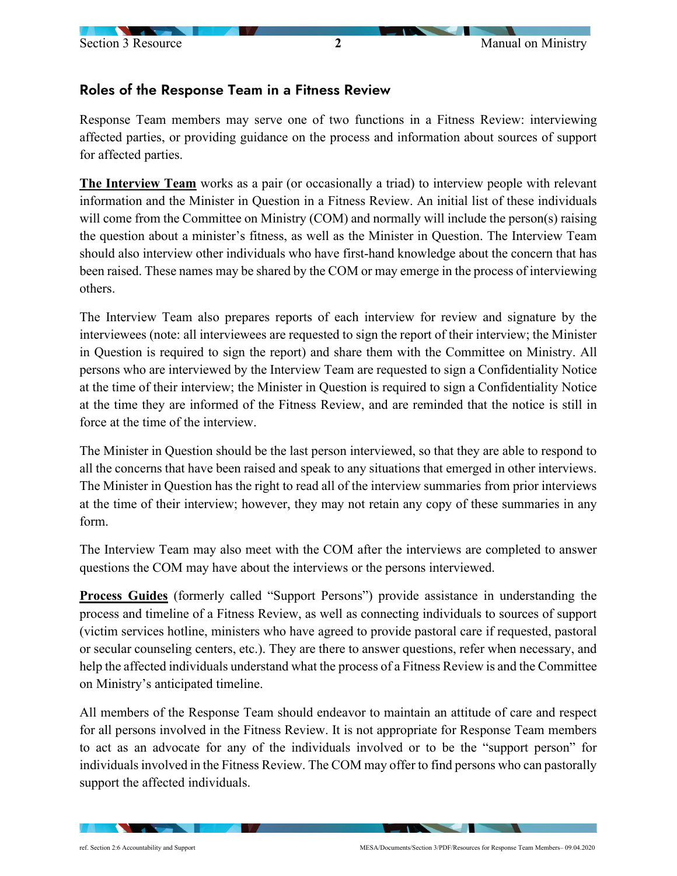## Section 3 Resource 2<br>
2

## Roles of the Response Team in a Fitness Review

Response Team members may serve one of two functions in a Fitness Review: interviewing affected parties, or providing guidance on the process and information about sources of support for affected parties.

**The Interview Team** works as a pair (or occasionally a triad) to interview people with relevant information and the Minister in Question in a Fitness Review. An initial list of these individuals will come from the Committee on Ministry (COM) and normally will include the person(s) raising the question about a minister's fitness, as well as the Minister in Question. The Interview Team should also interview other individuals who have first-hand knowledge about the concern that has been raised. These names may be shared by the COM or may emerge in the process of interviewing others.

The Interview Team also prepares reports of each interview for review and signature by the interviewees (note: all interviewees are requested to sign the report of their interview; the Minister in Question is required to sign the report) and share them with the Committee on Ministry. All persons who are interviewed by the Interview Team are requested to sign a Confidentiality Notice at the time of their interview; the Minister in Question is required to sign a Confidentiality Notice at the time they are informed of the Fitness Review, and are reminded that the notice is still in force at the time of the interview.

The Minister in Question should be the last person interviewed, so that they are able to respond to all the concerns that have been raised and speak to any situations that emerged in other interviews. The Minister in Question has the right to read all of the interview summaries from prior interviews at the time of their interview; however, they may not retain any copy of these summaries in any form.

The Interview Team may also meet with the COM after the interviews are completed to answer questions the COM may have about the interviews or the persons interviewed.

**Process Guides** (formerly called "Support Persons") provide assistance in understanding the process and timeline of a Fitness Review, as well as connecting individuals to sources of support (victim services hotline, ministers who have agreed to provide pastoral care if requested, pastoral or secular counseling centers, etc.). They are there to answer questions, refer when necessary, and help the affected individuals understand what the process of a Fitness Review is and the Committee on Ministry's anticipated timeline.

All members of the Response Team should endeavor to maintain an attitude of care and respect for all persons involved in the Fitness Review. It is not appropriate for Response Team members to act as an advocate for any of the individuals involved or to be the "support person" for individuals involved in the Fitness Review. The COM may offer to find persons who can pastorally support the affected individuals.

 $\mathbf{C}$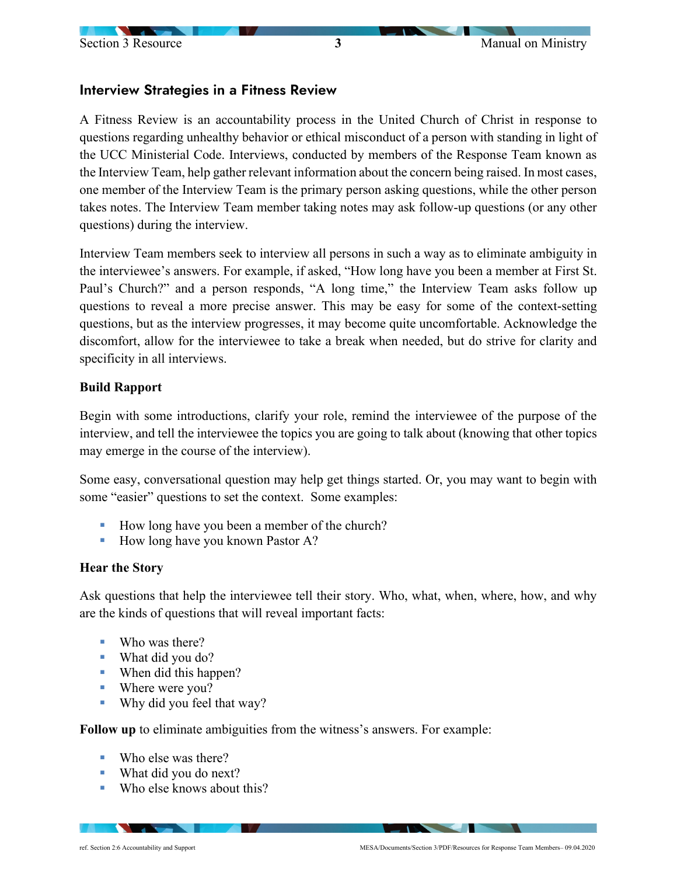## Interview Strategies in a Fitness Review

A Fitness Review is an accountability process in the United Church of Christ in response to questions regarding unhealthy behavior or ethical misconduct of a person with standing in light of the UCC Ministerial Code. Interviews, conducted by members of the Response Team known as the Interview Team, help gather relevant information about the concern being raised. In most cases, one member of the Interview Team is the primary person asking questions, while the other person takes notes. The Interview Team member taking notes may ask follow-up questions (or any other questions) during the interview.

Interview Team members seek to interview all persons in such a way as to eliminate ambiguity in the interviewee's answers. For example, if asked, "How long have you been a member at First St. Paul's Church?" and a person responds, "A long time," the Interview Team asks follow up questions to reveal a more precise answer. This may be easy for some of the context-setting questions, but as the interview progresses, it may become quite uncomfortable. Acknowledge the discomfort, allow for the interviewee to take a break when needed, but do strive for clarity and specificity in all interviews.

### **Build Rapport**

Begin with some introductions, clarify your role, remind the interviewee of the purpose of the interview, and tell the interviewee the topics you are going to talk about (knowing that other topics may emerge in the course of the interview).

Some easy, conversational question may help get things started. Or, you may want to begin with some "easier" questions to set the context. Some examples:

- How long have you been a member of the church?
- $\blacksquare$  How long have you known Pastor A?

#### **Hear the Story**

Ask questions that help the interviewee tell their story. Who, what, when, where, how, and why are the kinds of questions that will reveal important facts:

- Who was there?
- What did you do?
- When did this happen?
- Where were you?
- Why did you feel that way?

**Follow up** to eliminate ambiguities from the witness's answers. For example:

- Who else was there?
- What did you do next?
- Who else knows about this?

 $\sim$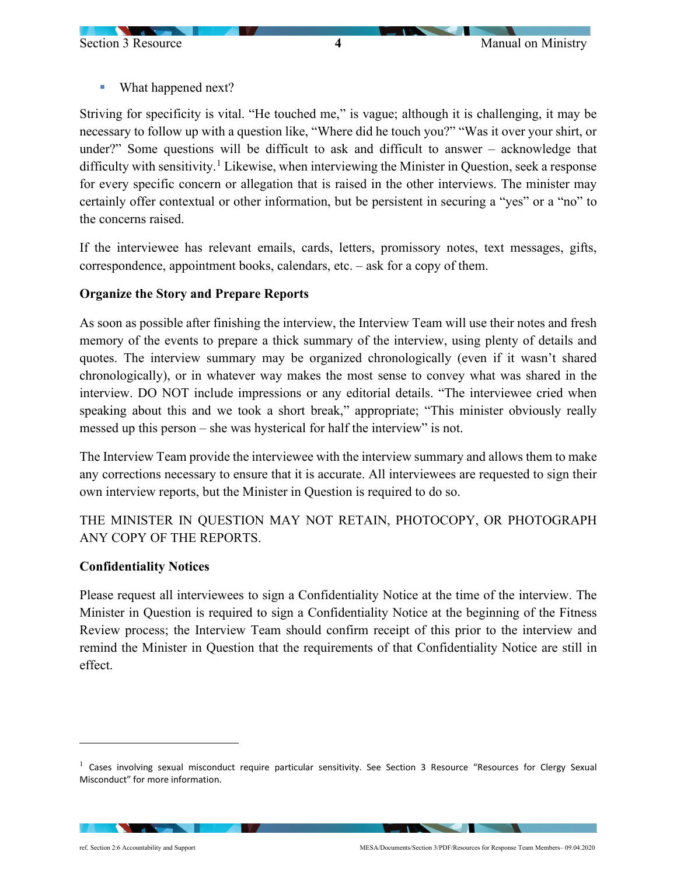What happened next?

Striving for specificity is vital. "He touched me," is vague; although it is challenging, it may be necessary to follow up with a question like, "Where did he touch you?" "Was it over your shirt, or under?" Some questions will be difficult to ask and difficult to answer – acknowledge that difficulty with sensitivity.<sup>[1](#page-3-0)</sup> Likewise, when interviewing the Minister in Question, seek a response for every specific concern or allegation that is raised in the other interviews. The minister may certainly offer contextual or other information, but be persistent in securing a "yes" or a "no" to the concerns raised.

If the interviewee has relevant emails, cards, letters, promissory notes, text messages, gifts, correspondence, appointment books, calendars, etc. – ask for a copy of them.

## **Organize the Story and Prepare Reports**

As soon as possible after finishing the interview, the Interview Team will use their notes and fresh memory of the events to prepare a thick summary of the interview, using plenty of details and quotes. The interview summary may be organized chronologically (even if it wasn't shared chronologically), or in whatever way makes the most sense to convey what was shared in the interview. DO NOT include impressions or any editorial details. "The interviewee cried when speaking about this and we took a short break," appropriate; "This minister obviously really messed up this person – she was hysterical for half the interview" is not.

The Interview Team provide the interviewee with the interview summary and allows them to make any corrections necessary to ensure that it is accurate. All interviewees are requested to sign their own interview reports, but the Minister in Question is required to do so.

THE MINISTER IN QUESTION MAY NOT RETAIN, PHOTOCOPY, OR PHOTOGRAPH ANY COPY OF THE REPORTS.

#### **Confidentiality Notices**

Please request all interviewees to sign a Confidentiality Notice at the time of the interview. The Minister in Question is required to sign a Confidentiality Notice at the beginning of the Fitness Review process; the Interview Team should confirm receipt of this prior to the interview and remind the Minister in Question that the requirements of that Confidentiality Notice are still in effect.

<span id="page-3-0"></span> $1$  Cases involving sexual misconduct require particular sensitivity. See Section 3 Resource "Resources for Clergy Sexual Misconduct" for more information.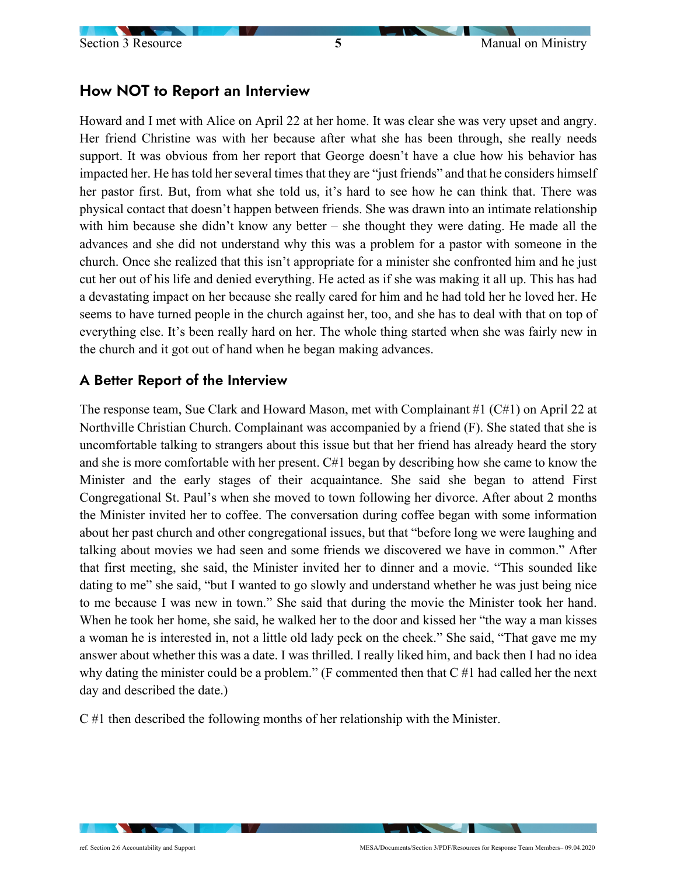## How NOT to Report an Interview

Howard and I met with Alice on April 22 at her home. It was clear she was very upset and angry. Her friend Christine was with her because after what she has been through, she really needs support. It was obvious from her report that George doesn't have a clue how his behavior has impacted her. He has told her several times that they are "just friends" and that he considers himself her pastor first. But, from what she told us, it's hard to see how he can think that. There was physical contact that doesn't happen between friends. She was drawn into an intimate relationship with him because she didn't know any better – she thought they were dating. He made all the advances and she did not understand why this was a problem for a pastor with someone in the church. Once she realized that this isn't appropriate for a minister she confronted him and he just cut her out of his life and denied everything. He acted as if she was making it all up. This has had a devastating impact on her because she really cared for him and he had told her he loved her. He seems to have turned people in the church against her, too, and she has to deal with that on top of everything else. It's been really hard on her. The whole thing started when she was fairly new in the church and it got out of hand when he began making advances.

## A Better Report of the Interview

The response team, Sue Clark and Howard Mason, met with Complainant #1 (C#1) on April 22 at Northville Christian Church. Complainant was accompanied by a friend (F). She stated that she is uncomfortable talking to strangers about this issue but that her friend has already heard the story and she is more comfortable with her present. C#1 began by describing how she came to know the Minister and the early stages of their acquaintance. She said she began to attend First Congregational St. Paul's when she moved to town following her divorce. After about 2 months the Minister invited her to coffee. The conversation during coffee began with some information about her past church and other congregational issues, but that "before long we were laughing and talking about movies we had seen and some friends we discovered we have in common." After that first meeting, she said, the Minister invited her to dinner and a movie. "This sounded like dating to me" she said, "but I wanted to go slowly and understand whether he was just being nice to me because I was new in town." She said that during the movie the Minister took her hand. When he took her home, she said, he walked her to the door and kissed her "the way a man kisses a woman he is interested in, not a little old lady peck on the cheek." She said, "That gave me my answer about whether this was a date. I was thrilled. I really liked him, and back then I had no idea why dating the minister could be a problem." (F commented then that C #1 had called her the next day and described the date.)

C #1 then described the following months of her relationship with the Minister.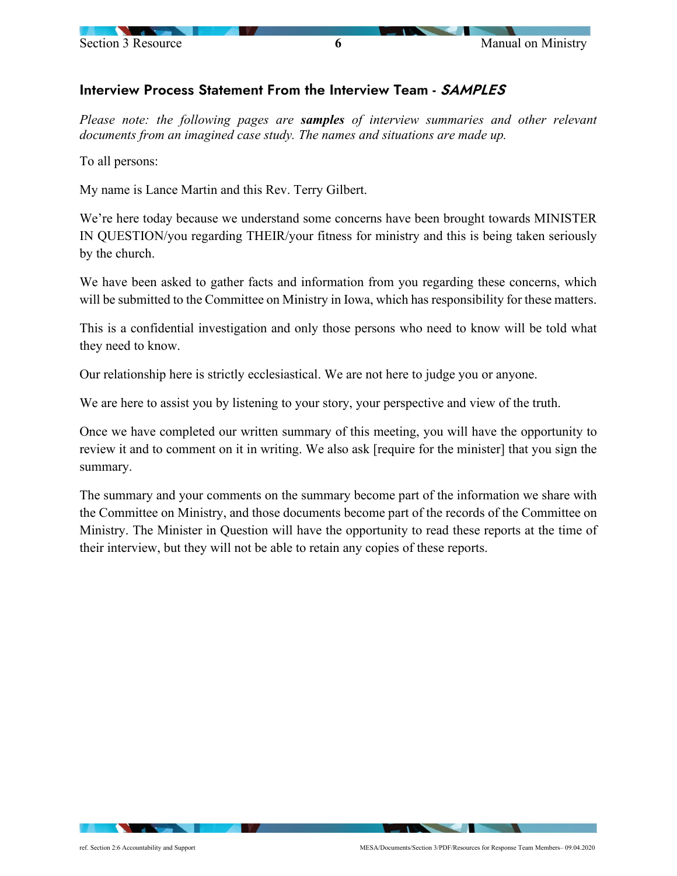

## Interview Process Statement From the Interview Team - SAMPLES

*Please note: the following pages are samples of interview summaries and other relevant documents from an imagined case study. The names and situations are made up.* 

To all persons:

My name is Lance Martin and this Rev. Terry Gilbert.

We're here today because we understand some concerns have been brought towards MINISTER IN QUESTION/you regarding THEIR/your fitness for ministry and this is being taken seriously by the church.

We have been asked to gather facts and information from you regarding these concerns, which will be submitted to the Committee on Ministry in Iowa, which has responsibility for these matters.

This is a confidential investigation and only those persons who need to know will be told what they need to know.

Our relationship here is strictly ecclesiastical. We are not here to judge you or anyone.

We are here to assist you by listening to your story, your perspective and view of the truth.

Once we have completed our written summary of this meeting, you will have the opportunity to review it and to comment on it in writing. We also ask [require for the minister] that you sign the summary.

The summary and your comments on the summary become part of the information we share with the Committee on Ministry, and those documents become part of the records of the Committee on Ministry. The Minister in Question will have the opportunity to read these reports at the time of their interview, but they will not be able to retain any copies of these reports.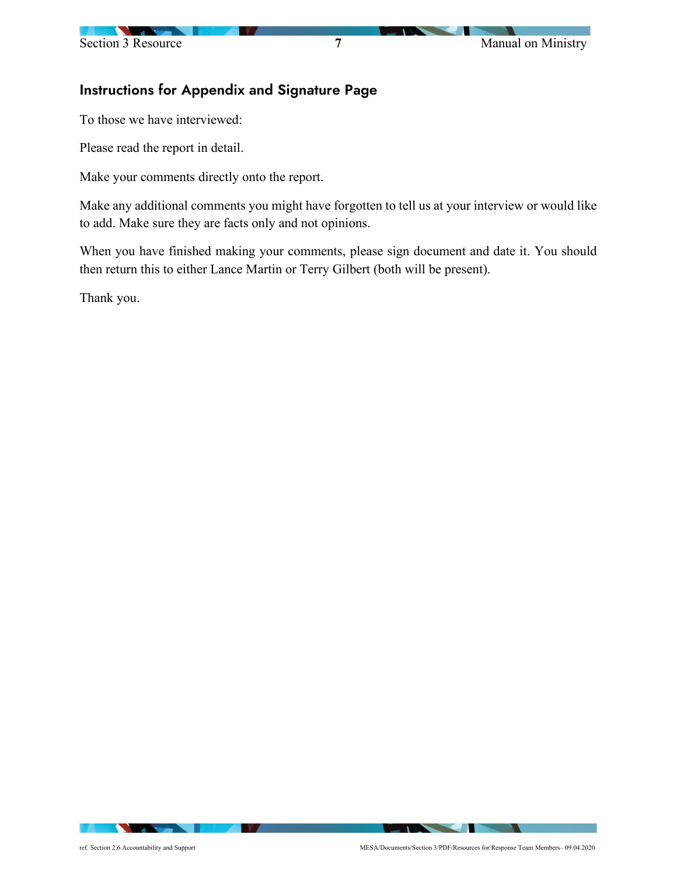## Instructions for Appendix and Signature Page

To those we have interviewed:

Please read the report in detail.

Make your comments directly onto the report.

Make any additional comments you might have forgotten to tell us at your interview or would like to add. Make sure they are facts only and not opinions.

When you have finished making your comments, please sign document and date it. You should then return this to either Lance Martin or Terry Gilbert (both will be present).

Thank you.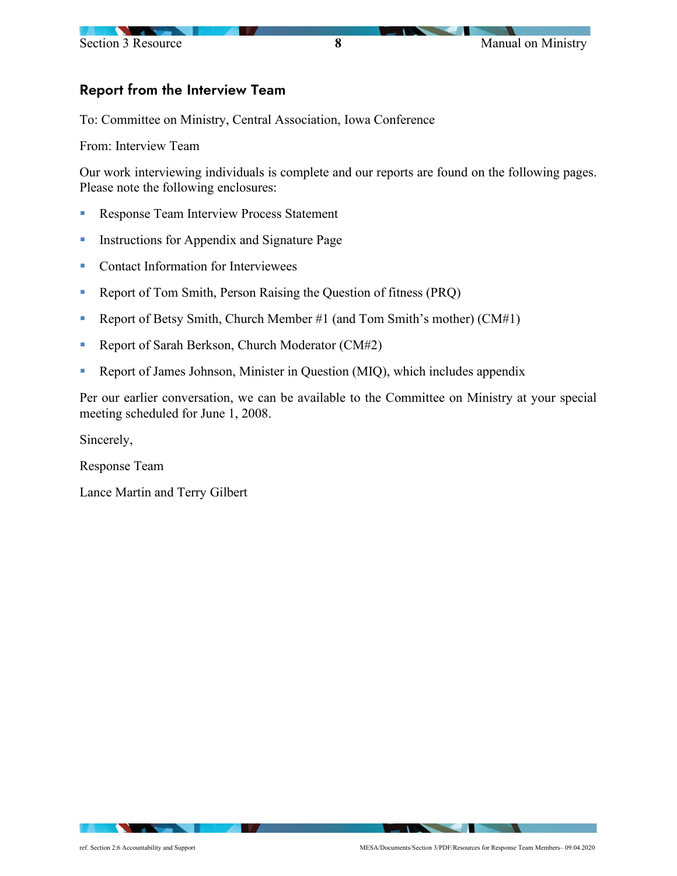## Report from the Interview Team

To: Committee on Ministry, Central Association, Iowa Conference

From: Interview Team

Our work interviewing individuals is complete and our reports are found on the following pages. Please note the following enclosures:

- **Response Team Interview Process Statement**
- **Instructions for Appendix and Signature Page**
- Contact Information for Interviewees
- Report of Tom Smith, Person Raising the Question of fitness (PRQ)
- Report of Betsy Smith, Church Member  $#1$  (and Tom Smith's mother) (CM $#1$ )
- Report of Sarah Berkson, Church Moderator (CM#2)
- Report of James Johnson, Minister in Question (MIQ), which includes appendix

Per our earlier conversation, we can be available to the Committee on Ministry at your special meeting scheduled for June 1, 2008.

Sincerely,

Response Team

Lance Martin and Terry Gilbert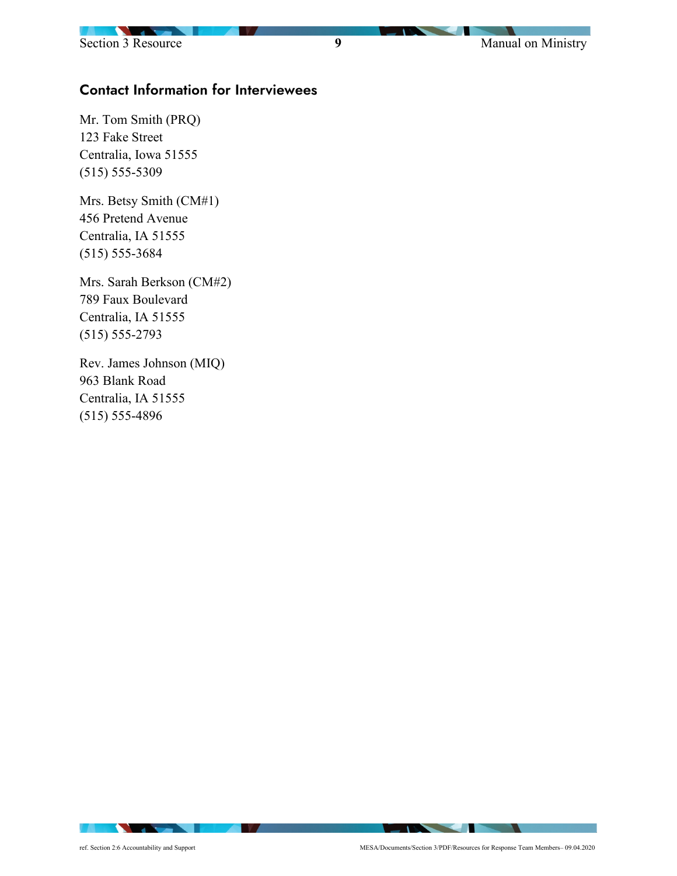## Contact Information for Interviewees

Mr. Tom Smith (PRQ) 123 Fake Street Centralia, Iowa 51555 (515) 555-5309

Mrs. Betsy Smith (CM#1) 456 Pretend Avenue Centralia, IA 51555 (515) 555-3684

Mrs. Sarah Berkson (CM#2) 789 Faux Boulevard Centralia, IA 51555 (515) 555-2793

Rev. James Johnson (MIQ) 963 Blank Road Centralia, IA 51555 (515) 555-4896

- V

**The Community of the Community**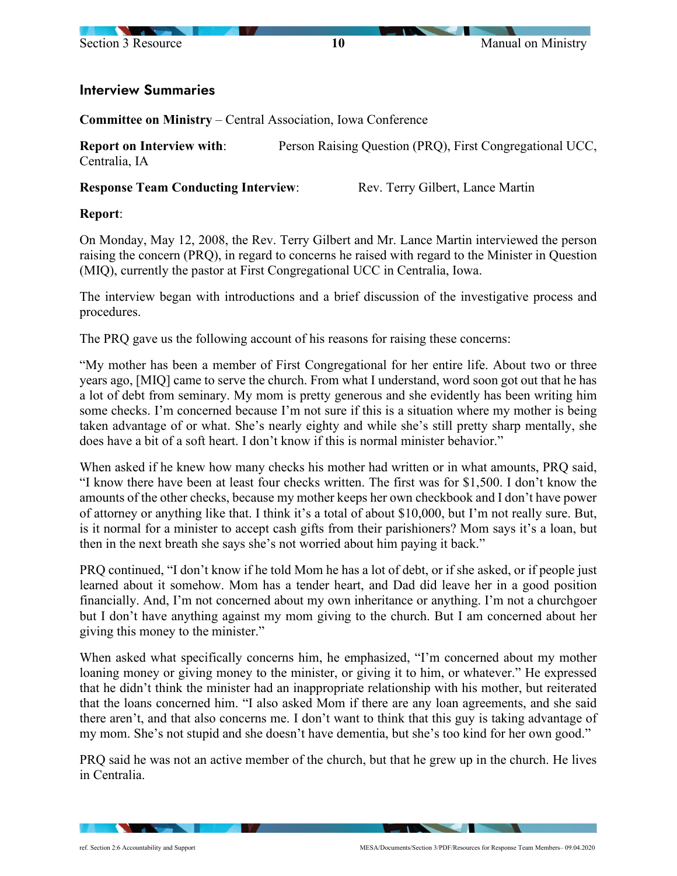

### Interview Summaries

**Committee on Ministry** – Central Association, Iowa Conference

**Report on Interview with:** Person Raising Question (PRQ), First Congregational UCC, Centralia, IA

**Response Team Conducting Interview:** Rev. Terry Gilbert, Lance Martin

### **Report**:

On Monday, May 12, 2008, the Rev. Terry Gilbert and Mr. Lance Martin interviewed the person raising the concern (PRQ), in regard to concerns he raised with regard to the Minister in Question (MIQ), currently the pastor at First Congregational UCC in Centralia, Iowa.

The interview began with introductions and a brief discussion of the investigative process and procedures.

The PRQ gave us the following account of his reasons for raising these concerns:

"My mother has been a member of First Congregational for her entire life. About two or three years ago, [MIQ] came to serve the church. From what I understand, word soon got out that he has a lot of debt from seminary. My mom is pretty generous and she evidently has been writing him some checks. I'm concerned because I'm not sure if this is a situation where my mother is being taken advantage of or what. She's nearly eighty and while she's still pretty sharp mentally, she does have a bit of a soft heart. I don't know if this is normal minister behavior."

When asked if he knew how many checks his mother had written or in what amounts, PRQ said, "I know there have been at least four checks written. The first was for \$1,500. I don't know the amounts of the other checks, because my mother keeps her own checkbook and I don't have power of attorney or anything like that. I think it's a total of about \$10,000, but I'm not really sure. But, is it normal for a minister to accept cash gifts from their parishioners? Mom says it's a loan, but then in the next breath she says she's not worried about him paying it back."

PRQ continued, "I don't know if he told Mom he has a lot of debt, or if she asked, or if people just learned about it somehow. Mom has a tender heart, and Dad did leave her in a good position financially. And, I'm not concerned about my own inheritance or anything. I'm not a churchgoer but I don't have anything against my mom giving to the church. But I am concerned about her giving this money to the minister."

When asked what specifically concerns him, he emphasized, "I'm concerned about my mother loaning money or giving money to the minister, or giving it to him, or whatever." He expressed that he didn't think the minister had an inappropriate relationship with his mother, but reiterated that the loans concerned him. "I also asked Mom if there are any loan agreements, and she said there aren't, and that also concerns me. I don't want to think that this guy is taking advantage of my mom. She's not stupid and she doesn't have dementia, but she's too kind for her own good."

PRQ said he was not an active member of the church, but that he grew up in the church. He lives in Centralia.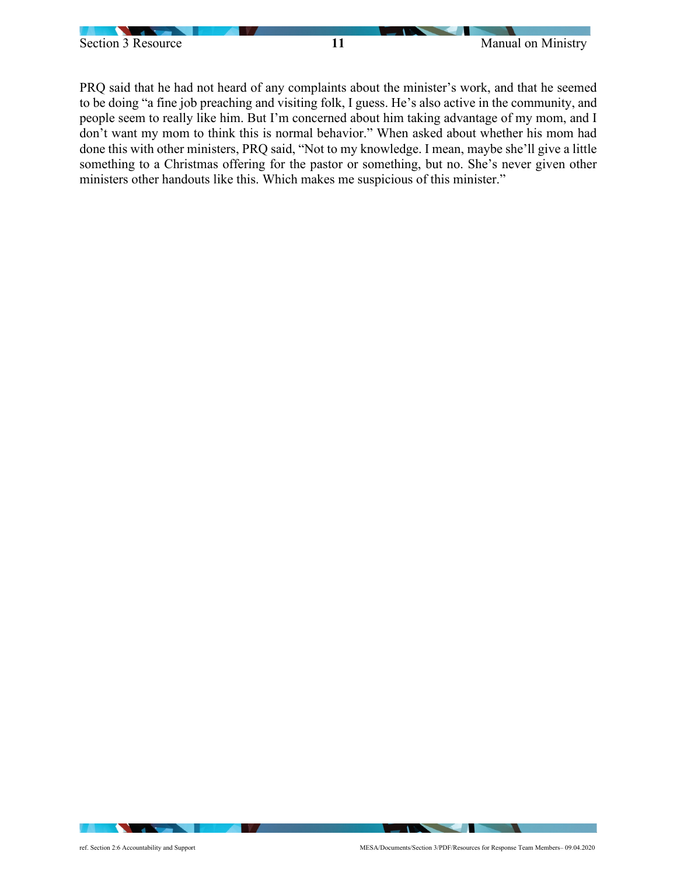

PRQ said that he had not heard of any complaints about the minister's work, and that he seemed to be doing "a fine job preaching and visiting folk, I guess. He's also active in the community, and people seem to really like him. But I'm concerned about him taking advantage of my mom, and I don't want my mom to think this is normal behavior." When asked about whether his mom had done this with other ministers, PRQ said, "Not to my knowledge. I mean, maybe she'll give a little something to a Christmas offering for the pastor or something, but no. She's never given other ministers other handouts like this. Which makes me suspicious of this minister."

 $\sim$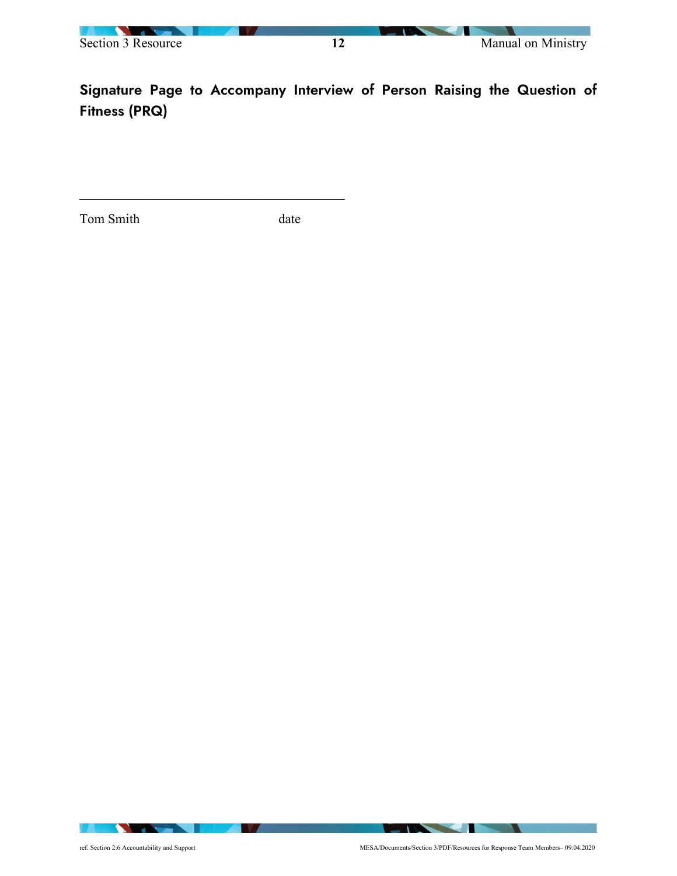

Signature Page to Accompany Interview of Person Raising the Question of Fitness (PRQ)

Tom Smith date

**IN A** 

**The Community** 

**The Community of the Community**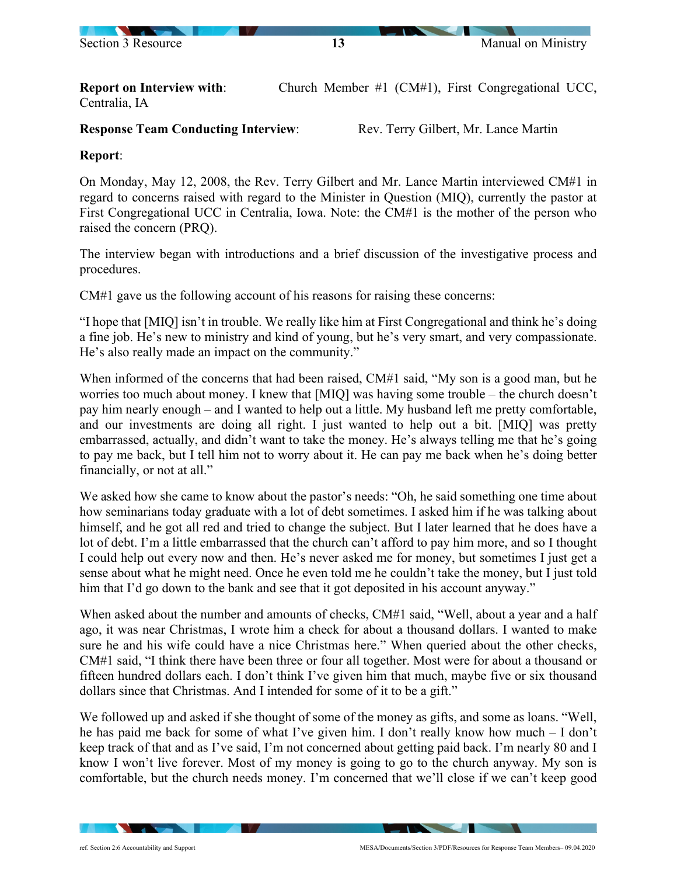

**Report on Interview with:** Church Member #1 (CM#1), First Congregational UCC, Centralia, IA

**Response Team Conducting Interview:** Rev. Terry Gilbert, Mr. Lance Martin

## **Report**:

On Monday, May 12, 2008, the Rev. Terry Gilbert and Mr. Lance Martin interviewed CM#1 in regard to concerns raised with regard to the Minister in Question (MIQ), currently the pastor at First Congregational UCC in Centralia, Iowa. Note: the CM#1 is the mother of the person who raised the concern (PRQ).

The interview began with introductions and a brief discussion of the investigative process and procedures.

CM#1 gave us the following account of his reasons for raising these concerns:

"I hope that [MIQ] isn't in trouble. We really like him at First Congregational and think he's doing a fine job. He's new to ministry and kind of young, but he's very smart, and very compassionate. He's also really made an impact on the community."

When informed of the concerns that had been raised, CM#1 said, "My son is a good man, but he worries too much about money. I knew that [MIQ] was having some trouble – the church doesn't pay him nearly enough – and I wanted to help out a little. My husband left me pretty comfortable, and our investments are doing all right. I just wanted to help out a bit. [MIQ] was pretty embarrassed, actually, and didn't want to take the money. He's always telling me that he's going to pay me back, but I tell him not to worry about it. He can pay me back when he's doing better financially, or not at all."

We asked how she came to know about the pastor's needs: "Oh, he said something one time about how seminarians today graduate with a lot of debt sometimes. I asked him if he was talking about himself, and he got all red and tried to change the subject. But I later learned that he does have a lot of debt. I'm a little embarrassed that the church can't afford to pay him more, and so I thought I could help out every now and then. He's never asked me for money, but sometimes I just get a sense about what he might need. Once he even told me he couldn't take the money, but I just told him that I'd go down to the bank and see that it got deposited in his account anyway."

When asked about the number and amounts of checks, CM#1 said, "Well, about a year and a half ago, it was near Christmas, I wrote him a check for about a thousand dollars. I wanted to make sure he and his wife could have a nice Christmas here." When queried about the other checks, CM#1 said, "I think there have been three or four all together. Most were for about a thousand or fifteen hundred dollars each. I don't think I've given him that much, maybe five or six thousand dollars since that Christmas. And I intended for some of it to be a gift."

We followed up and asked if she thought of some of the money as gifts, and some as loans. "Well, he has paid me back for some of what I've given him. I don't really know how much – I don't keep track of that and as I've said, I'm not concerned about getting paid back. I'm nearly 80 and I know I won't live forever. Most of my money is going to go to the church anyway. My son is comfortable, but the church needs money. I'm concerned that we'll close if we can't keep good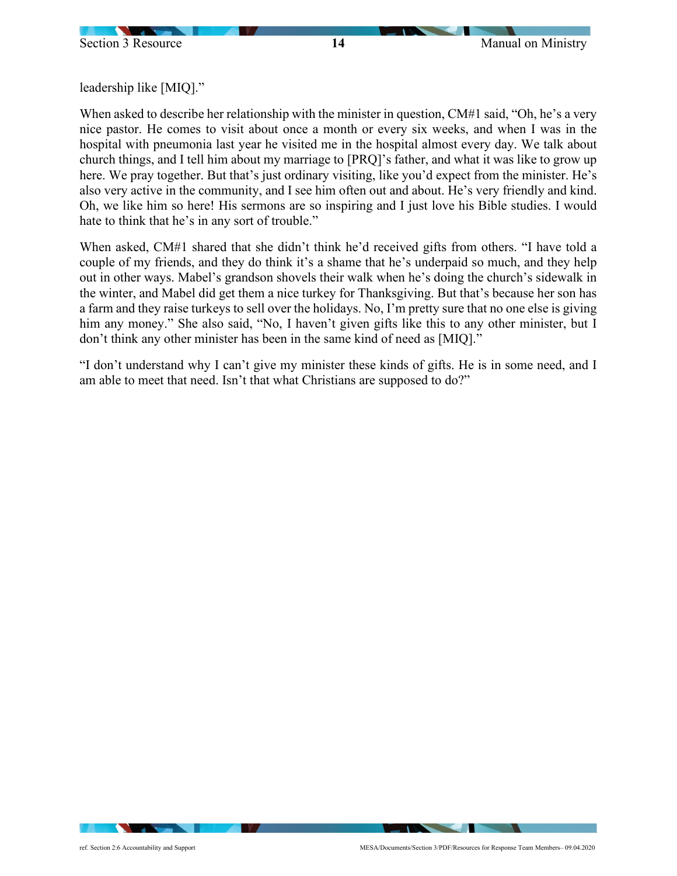leadership like [MIQ]."

When asked to describe her relationship with the minister in question, CM#1 said, "Oh, he's a very nice pastor. He comes to visit about once a month or every six weeks, and when I was in the hospital with pneumonia last year he visited me in the hospital almost every day. We talk about church things, and I tell him about my marriage to [PRQ]'s father, and what it was like to grow up here. We pray together. But that's just ordinary visiting, like you'd expect from the minister. He's also very active in the community, and I see him often out and about. He's very friendly and kind. Oh, we like him so here! His sermons are so inspiring and I just love his Bible studies. I would hate to think that he's in any sort of trouble."

When asked, CM#1 shared that she didn't think he'd received gifts from others. "I have told a couple of my friends, and they do think it's a shame that he's underpaid so much, and they help out in other ways. Mabel's grandson shovels their walk when he's doing the church's sidewalk in the winter, and Mabel did get them a nice turkey for Thanksgiving. But that's because her son has a farm and they raise turkeys to sell over the holidays. No, I'm pretty sure that no one else is giving him any money." She also said, "No, I haven't given gifts like this to any other minister, but I don't think any other minister has been in the same kind of need as [MIQ]."

"I don't understand why I can't give my minister these kinds of gifts. He is in some need, and I am able to meet that need. Isn't that what Christians are supposed to do?"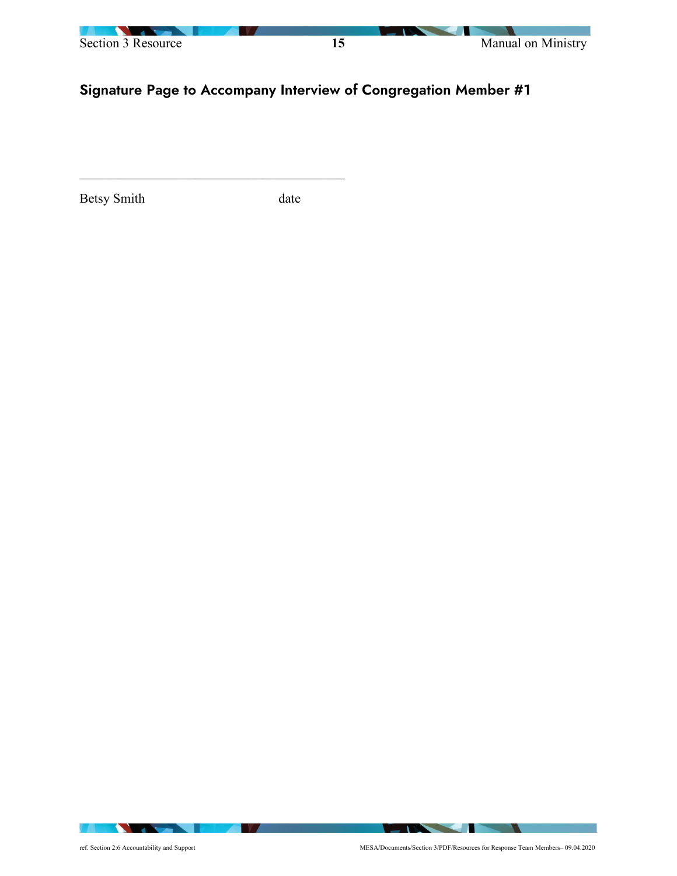

# Signature Page to Accompany Interview of Congregation Member #1

Betsy Smith date

**IN A** 

**The Community of the Community**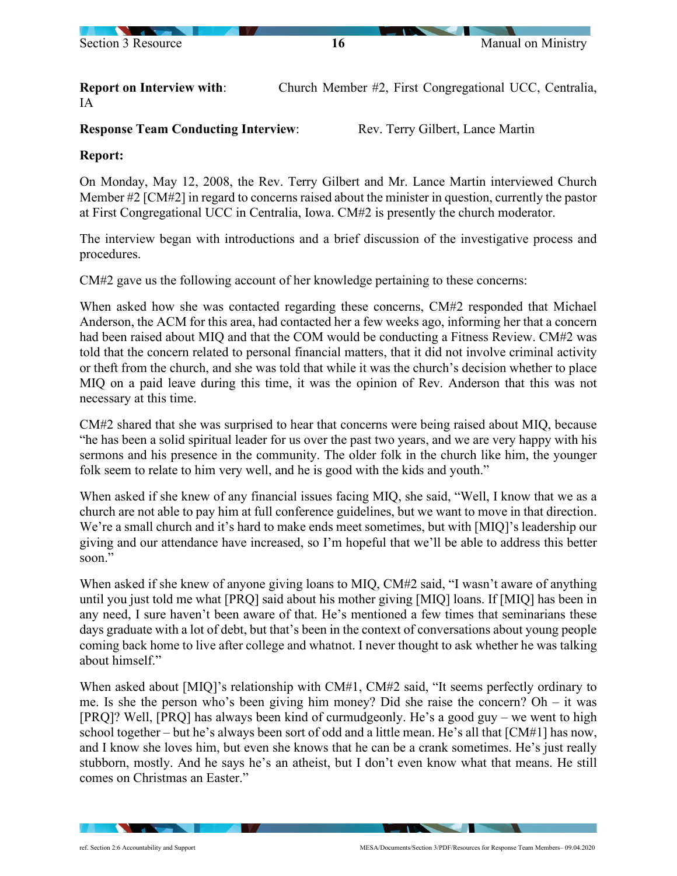

**Report on Interview with:** Church Member #2, First Congregational UCC, Centralia, IA

**Response Team Conducting Interview:** Rev. Terry Gilbert, Lance Martin

### **Report:**

On Monday, May 12, 2008, the Rev. Terry Gilbert and Mr. Lance Martin interviewed Church Member #2 [CM#2] in regard to concerns raised about the minister in question, currently the pastor at First Congregational UCC in Centralia, Iowa. CM#2 is presently the church moderator.

The interview began with introductions and a brief discussion of the investigative process and procedures.

CM#2 gave us the following account of her knowledge pertaining to these concerns:

When asked how she was contacted regarding these concerns, CM#2 responded that Michael Anderson, the ACM for this area, had contacted her a few weeks ago, informing her that a concern had been raised about MIQ and that the COM would be conducting a Fitness Review. CM#2 was told that the concern related to personal financial matters, that it did not involve criminal activity or theft from the church, and she was told that while it was the church's decision whether to place MIQ on a paid leave during this time, it was the opinion of Rev. Anderson that this was not necessary at this time.

CM#2 shared that she was surprised to hear that concerns were being raised about MIQ, because "he has been a solid spiritual leader for us over the past two years, and we are very happy with his sermons and his presence in the community. The older folk in the church like him, the younger folk seem to relate to him very well, and he is good with the kids and youth."

When asked if she knew of any financial issues facing MIQ, she said, "Well, I know that we as a church are not able to pay him at full conference guidelines, but we want to move in that direction. We're a small church and it's hard to make ends meet sometimes, but with [MIQ]'s leadership our giving and our attendance have increased, so I'm hopeful that we'll be able to address this better soon."

When asked if she knew of anyone giving loans to MIQ, CM#2 said, "I wasn't aware of anything until you just told me what [PRQ] said about his mother giving [MIQ] loans. If [MIQ] has been in any need, I sure haven't been aware of that. He's mentioned a few times that seminarians these days graduate with a lot of debt, but that's been in the context of conversations about young people coming back home to live after college and whatnot. I never thought to ask whether he was talking about himself."

When asked about [MIQ]'s relationship with CM#1, CM#2 said, "It seems perfectly ordinary to me. Is she the person who's been giving him money? Did she raise the concern? Oh – it was [PRQ]? Well, [PRQ] has always been kind of curmudgeonly. He's a good guy – we went to high school together – but he's always been sort of odd and a little mean. He's all that [CM#1] has now, and I know she loves him, but even she knows that he can be a crank sometimes. He's just really stubborn, mostly. And he says he's an atheist, but I don't even know what that means. He still comes on Christmas an Easter."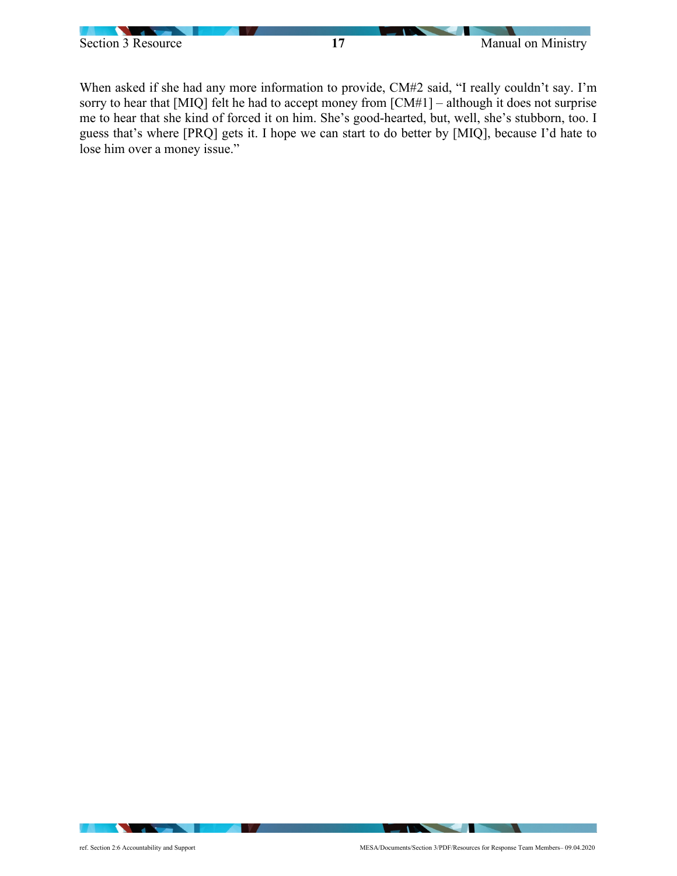

When asked if she had any more information to provide, CM#2 said, "I really couldn't say. I'm sorry to hear that [MIQ] felt he had to accept money from [CM#1] – although it does not surprise me to hear that she kind of forced it on him. She's good-hearted, but, well, she's stubborn, too. I guess that's where [PRQ] gets it. I hope we can start to do better by [MIQ], because I'd hate to lose him over a money issue."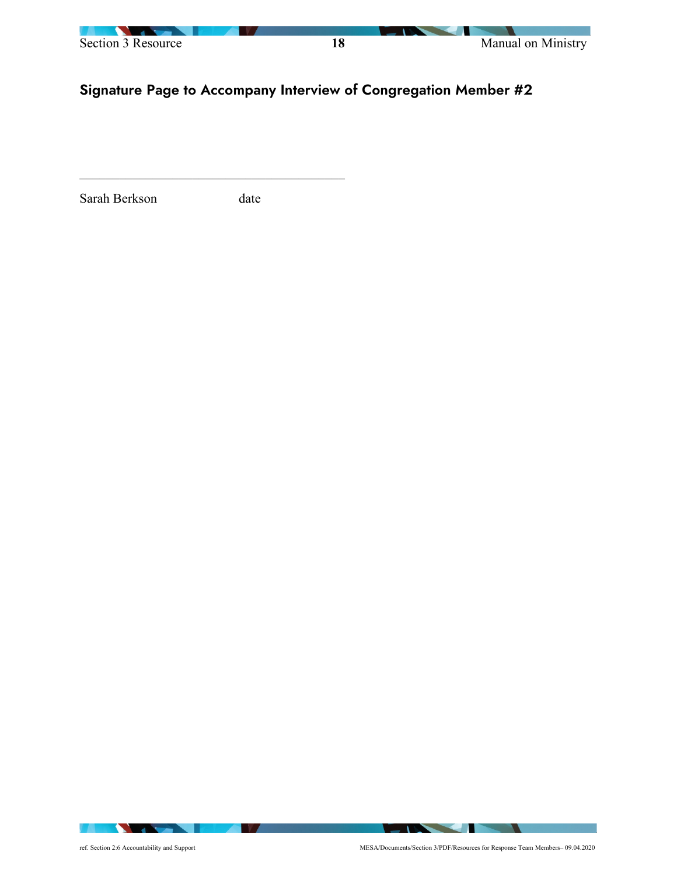

# Signature Page to Accompany Interview of Congregation Member #2

Sarah Berkson date

**IN A** 

**The Community of the Community**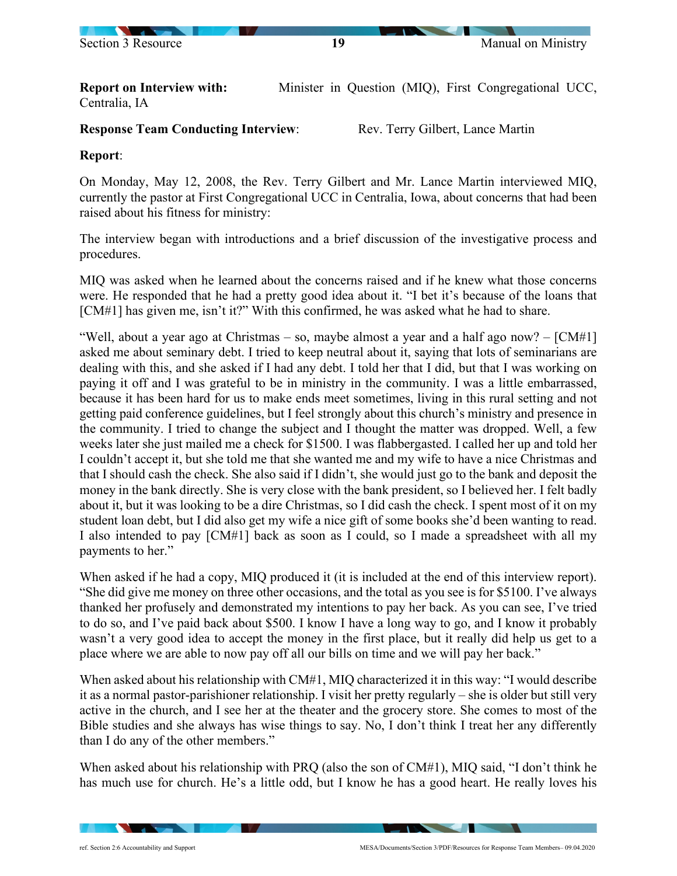

**Report on Interview with:** Minister in Question (MIQ), First Congregational UCC, Centralia, IA

#### **Response Team Conducting Interview:** Rev. Terry Gilbert, Lance Martin

**Report**:

On Monday, May 12, 2008, the Rev. Terry Gilbert and Mr. Lance Martin interviewed MIQ, currently the pastor at First Congregational UCC in Centralia, Iowa, about concerns that had been raised about his fitness for ministry:

The interview began with introductions and a brief discussion of the investigative process and procedures.

MIQ was asked when he learned about the concerns raised and if he knew what those concerns were. He responded that he had a pretty good idea about it. "I bet it's because of the loans that [CM#1] has given me, isn't it?" With this confirmed, he was asked what he had to share.

"Well, about a year ago at Christmas – so, maybe almost a year and a half ago now?  $-$  [CM#1] asked me about seminary debt. I tried to keep neutral about it, saying that lots of seminarians are dealing with this, and she asked if I had any debt. I told her that I did, but that I was working on paying it off and I was grateful to be in ministry in the community. I was a little embarrassed, because it has been hard for us to make ends meet sometimes, living in this rural setting and not getting paid conference guidelines, but I feel strongly about this church's ministry and presence in the community. I tried to change the subject and I thought the matter was dropped. Well, a few weeks later she just mailed me a check for \$1500. I was flabbergasted. I called her up and told her I couldn't accept it, but she told me that she wanted me and my wife to have a nice Christmas and that I should cash the check. She also said if I didn't, she would just go to the bank and deposit the money in the bank directly. She is very close with the bank president, so I believed her. I felt badly about it, but it was looking to be a dire Christmas, so I did cash the check. I spent most of it on my student loan debt, but I did also get my wife a nice gift of some books she'd been wanting to read. I also intended to pay [CM#1] back as soon as I could, so I made a spreadsheet with all my payments to her."

When asked if he had a copy, MIQ produced it (it is included at the end of this interview report). "She did give me money on three other occasions, and the total as you see is for \$5100. I've always thanked her profusely and demonstrated my intentions to pay her back. As you can see, I've tried to do so, and I've paid back about \$500. I know I have a long way to go, and I know it probably wasn't a very good idea to accept the money in the first place, but it really did help us get to a place where we are able to now pay off all our bills on time and we will pay her back."

When asked about his relationship with CM#1, MIQ characterized it in this way: "I would describe it as a normal pastor-parishioner relationship. I visit her pretty regularly – she is older but still very active in the church, and I see her at the theater and the grocery store. She comes to most of the Bible studies and she always has wise things to say. No, I don't think I treat her any differently than I do any of the other members."

When asked about his relationship with PRQ (also the son of CM#1), MIQ said, "I don't think he has much use for church. He's a little odd, but I know he has a good heart. He really loves his

 $\sim$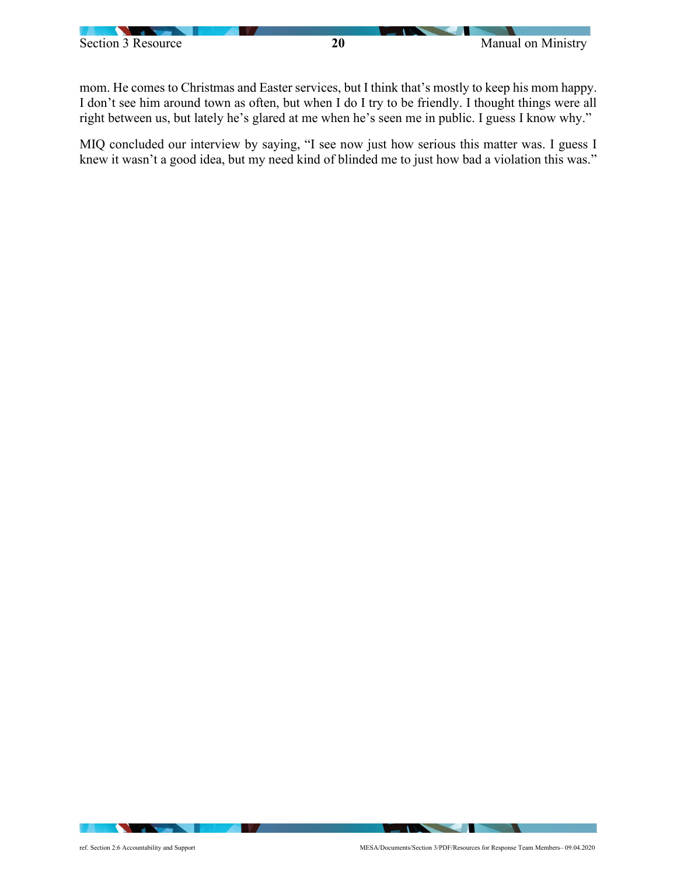mom. He comes to Christmas and Easter services, but I think that's mostly to keep his mom happy. I don't see him around town as often, but when I do I try to be friendly. I thought things were all right between us, but lately he's glared at me when he's seen me in public. I guess I know why."

MIQ concluded our interview by saying, "I see now just how serious this matter was. I guess I knew it wasn't a good idea, but my need kind of blinded me to just how bad a violation this was."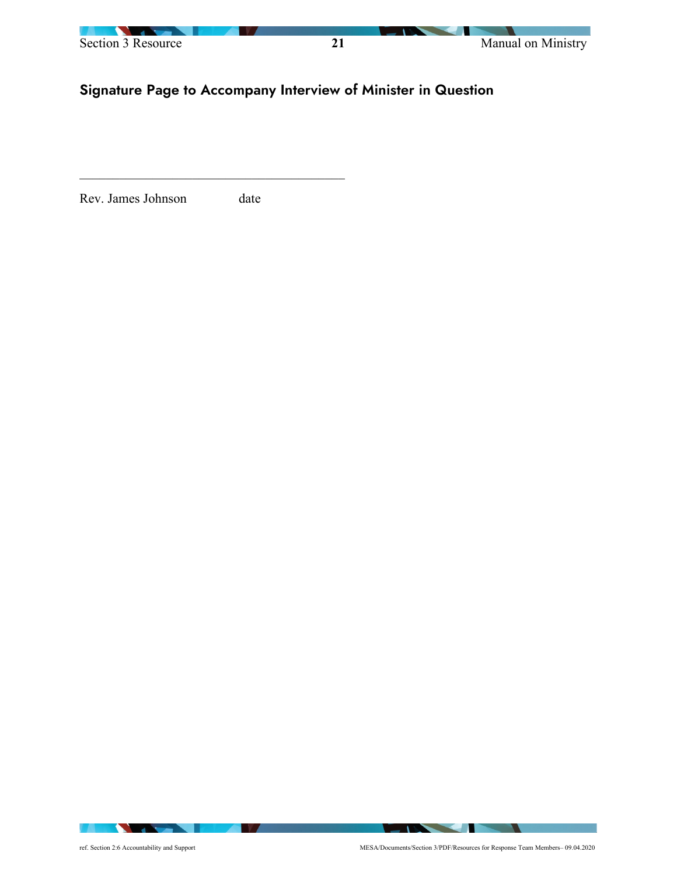

# Signature Page to Accompany Interview of Minister in Question

Rev. James Johnson date

**All the Second Street** 

a sa b

**IN A** 

**CONTRACTOR**